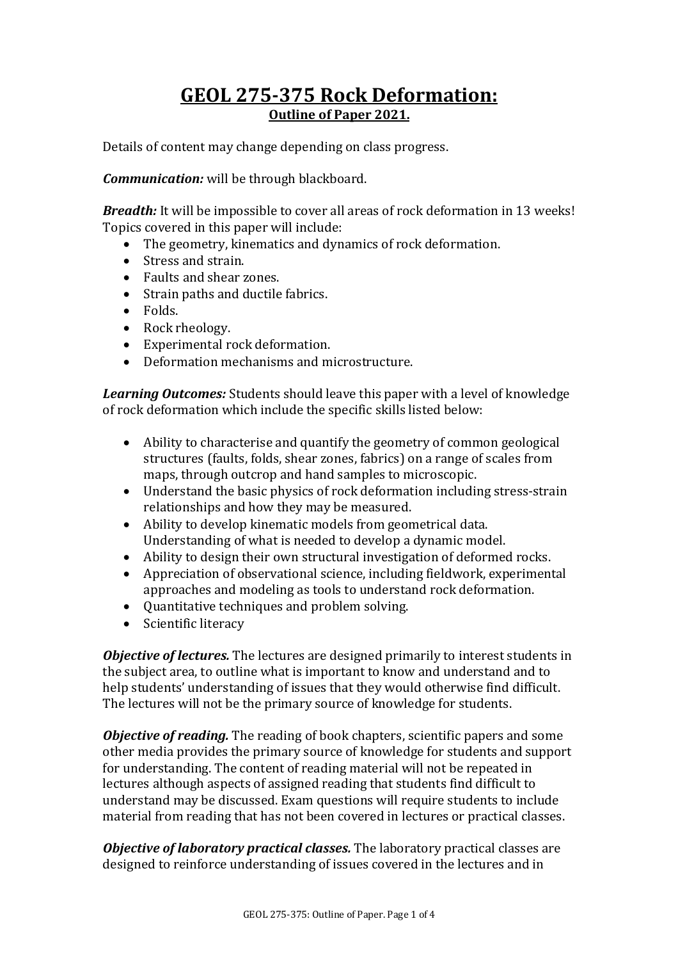# **GEOL 275-375 Rock Deformation: Outline of Paper 2021.**

Details of content may change depending on class progress.

*Communication:* will be through blackboard.

*Breadth:* It will be impossible to cover all areas of rock deformation in 13 weeks! Topics covered in this paper will include:

- The geometry, kinematics and dynamics of rock deformation.
- Stress and strain.
- Faults and shear zones.
- Strain paths and ductile fabrics.
- Folds.
- Rock rheology.
- Experimental rock deformation.
- Deformation mechanisms and microstructure.

*Learning Outcomes:* Students should leave this paper with a level of knowledge of rock deformation which include the specific skills listed below:

- Ability to characterise and quantify the geometry of common geological structures (faults, folds, shear zones, fabrics) on a range of scales from maps, through outcrop and hand samples to microscopic.
- Understand the basic physics of rock deformation including stress-strain relationships and how they may be measured.
- Ability to develop kinematic models from geometrical data. Understanding of what is needed to develop a dynamic model.
- Ability to design their own structural investigation of deformed rocks.
- Appreciation of observational science, including fieldwork, experimental approaches and modeling as tools to understand rock deformation.
- Ouantitative techniques and problem solving.
- Scientific literacy

*Objective of lectures.* The lectures are designed primarily to interest students in the subject area, to outline what is important to know and understand and to help students' understanding of issues that they would otherwise find difficult. The lectures will not be the primary source of knowledge for students.

*Objective of reading.* The reading of book chapters, scientific papers and some other media provides the primary source of knowledge for students and support for understanding. The content of reading material will not be repeated in lectures although aspects of assigned reading that students find difficult to understand may be discussed. Exam questions will require students to include material from reading that has not been covered in lectures or practical classes.

*Objective of laboratory practical classes.* The laboratory practical classes are designed to reinforce understanding of issues covered in the lectures and in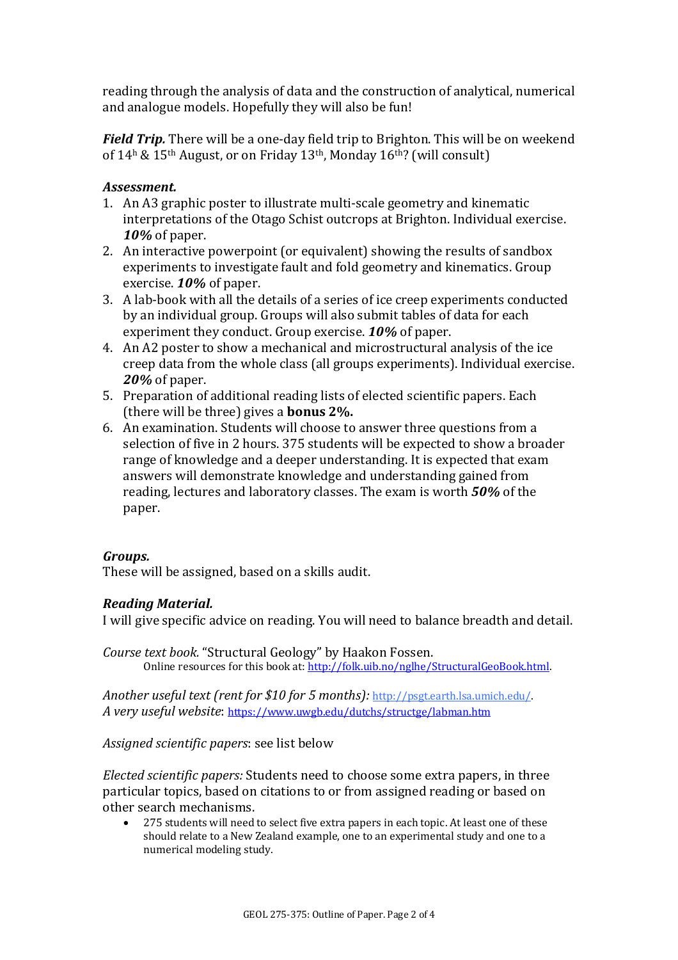reading through the analysis of data and the construction of analytical, numerical and analogue models. Hopefully they will also be fun!

*Field Trip.* There will be a one-day field trip to Brighton. This will be on weekend of  $14<sup>h</sup>$  &  $15<sup>th</sup>$  August, or on Friday  $13<sup>th</sup>$ , Monday  $16<sup>th</sup>$ ? (will consult)

## *Assessment.*

- 1. An A3 graphic poster to illustrate multi-scale geometry and kinematic interpretations of the Otago Schist outcrops at Brighton. Individual exercise. *10%* of paper.
- 2. An interactive powerpoint (or equivalent) showing the results of sandbox experiments to investigate fault and fold geometry and kinematics. Group exercise. **10%** of paper.
- 3. A lab-book with all the details of a series of ice creep experiments conducted by an individual group. Groups will also submit tables of data for each experiment they conduct. Group exercise. **10%** of paper.
- 4. An A2 poster to show a mechanical and microstructural analysis of the ice creep data from the whole class (all groups experiments). Individual exercise. **20%** of paper.
- 5. Preparation of additional reading lists of elected scientific papers. Each (there will be three) gives a **bonus 2%**.
- 6. An examination. Students will choose to answer three questions from a selection of five in 2 hours. 375 students will be expected to show a broader range of knowledge and a deeper understanding. It is expected that exam answers will demonstrate knowledge and understanding gained from reading, lectures and laboratory classes. The exam is worth **50%** of the paper.

### *Groups.*

These will be assigned, based on a skills audit.

### *Reading Material.*

I will give specific advice on reading. You will need to balance breadth and detail.

*Course text book.* "Structural Geology" by Haakon Fossen. Online resources for this book at: http://folk.uib.no/nglhe/StructuralGeoBook.html.

*Another useful text (rent for \$10 for 5 months): http://psgt.earth.lsa.umich.edu/. A very useful website*: https://www.uwgb.edu/dutchs/structge/labman.htm

*Assigned scientific papers*: see list below

*Elected scientific papers:* Students need to choose some extra papers, in three particular topics, based on citations to or from assigned reading or based on other search mechanisms.

275 students will need to select five extra papers in each topic. At least one of these should relate to a New Zealand example, one to an experimental study and one to a numerical modeling study.